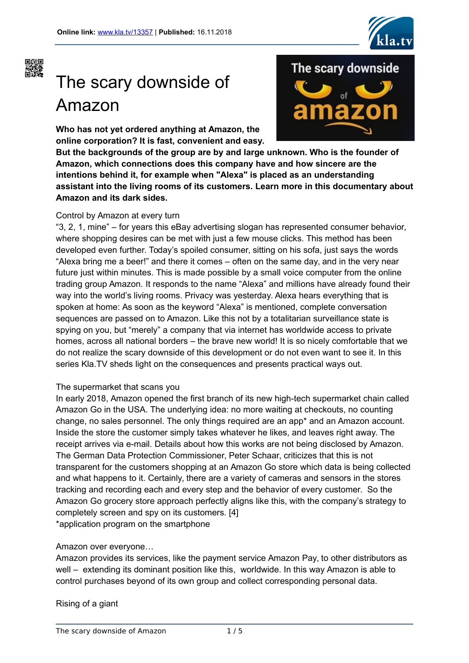



# The scary downside of Amazon

**Who has not yet ordered anything at Amazon, the online corporation? It is fast, convenient and easy.**



**But the backgrounds of the group are by and large unknown. Who is the founder of Amazon, which connections does this company have and how sincere are the intentions behind it, for example when "Alexa" is placed as an understanding assistant into the living rooms of its customers. Learn more in this documentary about Amazon and its dark sides.**

## Control by Amazon at every turn

"3, 2, 1, mine" – for years this eBay advertising slogan has represented consumer behavior, where shopping desires can be met with just a few mouse clicks. This method has been developed even further. Today's spoiled consumer, sitting on his sofa, just says the words "Alexa bring me a beer!" and there it comes – often on the same day, and in the very near future just within minutes. This is made possible by a small voice computer from the online trading group Amazon. It responds to the name "Alexa" and millions have already found their way into the world's living rooms. Privacy was yesterday. Alexa hears everything that is spoken at home: As soon as the keyword "Alexa" is mentioned, complete conversation sequences are passed on to Amazon. Like this not by a totalitarian surveillance state is spying on you, but "merely" a company that via internet has worldwide access to private homes, across all national borders – the brave new world! It is so nicely comfortable that we do not realize the scary downside of this development or do not even want to see it. In this series Kla.TV sheds light on the consequences and presents practical ways out.

## The supermarket that scans you

In early 2018, Amazon opened the first branch of its new high-tech supermarket chain called Amazon Go in the USA. The underlying idea: no more waiting at checkouts, no counting change, no sales personnel. The only things required are an app\* and an Amazon account. Inside the store the customer simply takes whatever he likes, and leaves right away. The receipt arrives via e-mail. Details about how this works are not being disclosed by Amazon. The German Data Protection Commissioner, Peter Schaar, criticizes that this is not transparent for the customers shopping at an Amazon Go store which data is being collected and what happens to it. Certainly, there are a variety of cameras and sensors in the stores tracking and recording each and every step and the behavior of every customer. So the Amazon Go grocery store approach perfectly aligns like this, with the company's strategy to completely screen and spy on its customers. [4] \*application program on the smartphone

## Amazon over everyone…

Amazon provides its services, like the payment service Amazon Pay, to other distributors as well – extending its dominant position like this, worldwide. In this way Amazon is able to control purchases beyond of its own group and collect corresponding personal data.

Rising of a giant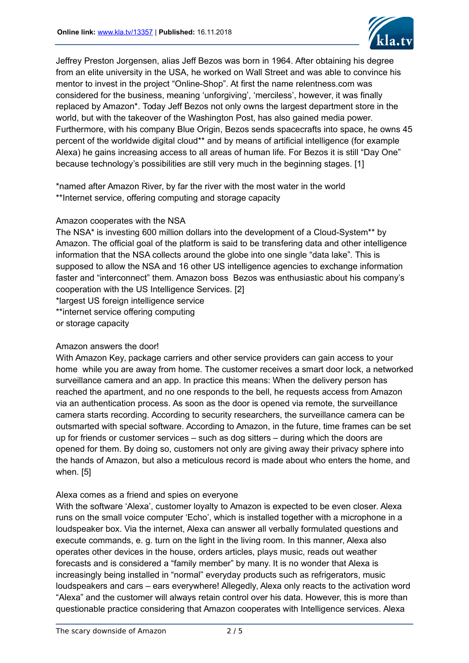

Jeffrey Preston Jorgensen, alias Jeff Bezos was born in 1964. After obtaining his degree from an elite university in the USA, he worked on Wall Street and was able to convince his mentor to invest in the project "Online-Shop". At first the name relentness.com was considered for the business, meaning 'unforgiving', 'merciless', however, it was finally replaced by Amazon\*. Today Jeff Bezos not only owns the largest department store in the world, but with the takeover of the Washington Post, has also gained media power. Furthermore, with his company Blue Origin, Bezos sends spacecrafts into space, he owns 45 percent of the worldwide digital cloud\*\* and by means of artificial intelligence (for example Alexa) he gains increasing access to all areas of human life. For Bezos it is still "Day One" because technology's possibilities are still very much in the beginning stages. [1]

\*named after Amazon River, by far the river with the most water in the world \*\*Internet service, offering computing and storage capacity

## Amazon cooperates with the NSA

The NSA\* is investing 600 million dollars into the development of a Cloud-System\*\* by Amazon. The official goal of the platform is said to be transfering data and other intelligence information that the NSA collects around the globe into one single "data lake". This is supposed to allow the NSA and 16 other US intelligence agencies to exchange information faster and "interconnect" them. Amazon boss Bezos was enthusiastic about his company's cooperation with the US Intelligence Services. [2]

\*largest US foreign intelligence service

\*\*internet service offering computing

or storage capacity

## Amazon answers the door!

With Amazon Key, package carriers and other service providers can gain access to your home while you are away from home. The customer receives a smart door lock, a networked surveillance camera and an app. In practice this means: When the delivery person has reached the apartment, and no one responds to the bell, he requests access from Amazon via an authentication process. As soon as the door is opened via remote, the surveillance camera starts recording. According to security researchers, the surveillance camera can be outsmarted with special software. According to Amazon, in the future, time frames can be set up for friends or customer services – such as dog sitters – during which the doors are opened for them. By doing so, customers not only are giving away their privacy sphere into the hands of Amazon, but also a meticulous record is made about who enters the home, and when. [5]

## Alexa comes as a friend and spies on everyone

With the software 'Alexa', customer loyalty to Amazon is expected to be even closer. Alexa runs on the small voice computer 'Echo', which is installed together with a microphone in a loudspeaker box. Via the internet, Alexa can answer all verbally formulated questions and execute commands, e. g. turn on the light in the living room. In this manner, Alexa also operates other devices in the house, orders articles, plays music, reads out weather forecasts and is considered a "family member" by many. It is no wonder that Alexa is increasingly being installed in "normal" everyday products such as refrigerators, music loudspeakers and cars – ears everywhere! Allegedly, Alexa only reacts to the activation word "Alexa" and the customer will always retain control over his data. However, this is more than questionable practice considering that Amazon cooperates with Intelligence services. Alexa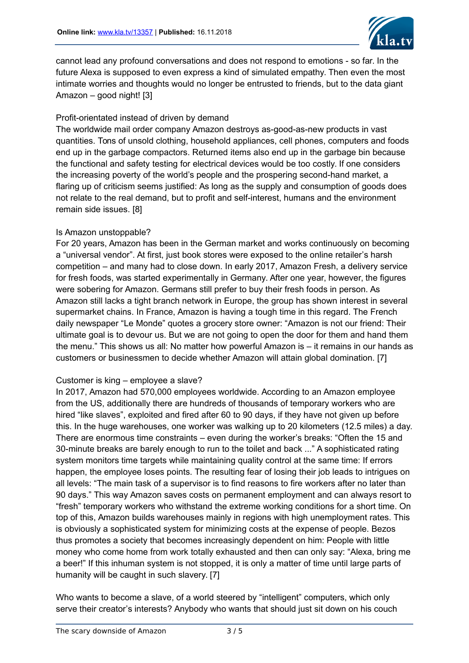

cannot lead any profound conversations and does not respond to emotions - so far. In the future Alexa is supposed to even express a kind of simulated empathy. Then even the most intimate worries and thoughts would no longer be entrusted to friends, but to the data giant Amazon – good night! [3]

## Profit-orientated instead of driven by demand

The worldwide mail order company Amazon destroys as-good-as-new products in vast quantities. Tons of unsold clothing, household appliances, cell phones, computers and foods end up in the garbage compactors. Returned items also end up in the garbage bin because the functional and safety testing for electrical devices would be too costly. If one considers the increasing poverty of the world's people and the prospering second-hand market, a flaring up of criticism seems justified: As long as the supply and consumption of goods does not relate to the real demand, but to profit and self-interest, humans and the environment remain side issues. [8]

## Is Amazon unstoppable?

For 20 years, Amazon has been in the German market and works continuously on becoming a "universal vendor". At first, just book stores were exposed to the online retailer's harsh competition – and many had to close down. In early 2017, Amazon Fresh, a delivery service for fresh foods, was started experimentally in Germany. After one year, however, the figures were sobering for Amazon. Germans still prefer to buy their fresh foods in person. As Amazon still lacks a tight branch network in Europe, the group has shown interest in several supermarket chains. In France, Amazon is having a tough time in this regard. The French daily newspaper "Le Monde" quotes a grocery store owner: "Amazon is not our friend: Their ultimate goal is to devour us. But we are not going to open the door for them and hand them the menu." This shows us all: No matter how powerful Amazon is – it remains in our hands as customers or businessmen to decide whether Amazon will attain global domination. [7]

## Customer is king – employee a slave?

In 2017, Amazon had 570,000 employees worldwide. According to an Amazon employee from the US, additionally there are hundreds of thousands of temporary workers who are hired "like slaves", exploited and fired after 60 to 90 days, if they have not given up before this. In the huge warehouses, one worker was walking up to 20 kilometers (12.5 miles) a day. There are enormous time constraints – even during the worker's breaks: "Often the 15 and 30-minute breaks are barely enough to run to the toilet and back ..." A sophisticated rating system monitors time targets while maintaining quality control at the same time: If errors happen, the employee loses points. The resulting fear of losing their job leads to intrigues on all levels: "The main task of a supervisor is to find reasons to fire workers after no later than 90 days." This way Amazon saves costs on permanent employment and can always resort to "fresh" temporary workers who withstand the extreme working conditions for a short time. On top of this, Amazon builds warehouses mainly in regions with high unemployment rates. This is obviously a sophisticated system for minimizing costs at the expense of people. Bezos thus promotes a society that becomes increasingly dependent on him: People with little money who come home from work totally exhausted and then can only say: "Alexa, bring me a beer!" If this inhuman system is not stopped, it is only a matter of time until large parts of humanity will be caught in such slavery. [7]

Who wants to become a slave, of a world steered by "intelligent" computers, which only serve their creator's interests? Anybody who wants that should just sit down on his couch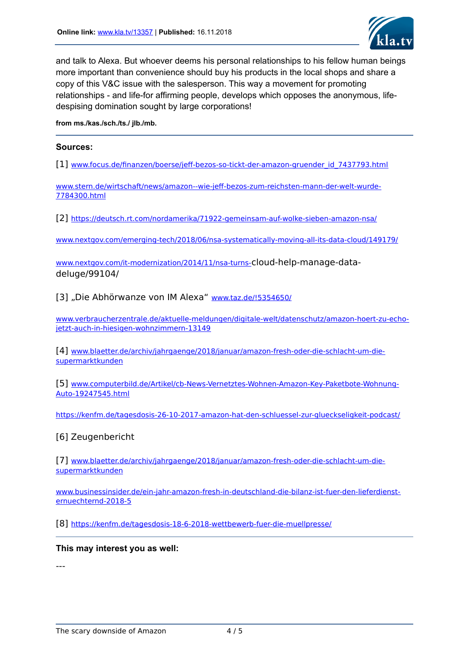

and talk to Alexa. But whoever deems his personal relationships to his fellow human beings more important than convenience should buy his products in the local shops and share a copy of this V&C issue with the salesperson. This way a movement for promoting relationships - and life-for affirming people, develops which opposes the anonymous, lifedespising domination sought by large corporations!

**from ms./kas./sch./ts./ jlb./mb.**

## **Sources:**

[1] [www.focus.de/finanzen/boerse/jeff-bezos-so-tickt-der-amazon-gruender\\_id\\_7437793.html](https://www.focus.de/finanzen/boerse/jeff-bezos-so-tickt-der-amazon-gruender_id_7437793.html)

[www.stern.de/wirtschaft/news/amazon--wie-jeff-bezos-zum-reichsten-mann-der-welt-wurde-](https://www.stern.de/wirtschaft/news/amazon--wie-jeff-bezos-zum-reichsten-mann-der-welt-wurde-7784300.html)[7784300.html](https://www.stern.de/wirtschaft/news/amazon--wie-jeff-bezos-zum-reichsten-mann-der-welt-wurde-7784300.html)

[2] <https://deutsch.rt.com/nordamerika/71922-gemeinsam-auf-wolke-sieben-amazon-nsa/>

[www.nextgov.com/emerging-tech/2018/06/nsa-systematically-moving-all-its-data-cloud/149179/](https://www.nextgov.com/emerging-tech/2018/06/nsa-systematically-moving-all-its-data-cloud/149179/)

[www.nextgov.com/it-modernization/2014/11/nsa-turns-](https://www.nextgov.com/it-modernization/2014/11/nsa-turns-)cloud-help-manage-datadeluge/99104/

[3] "Die Abhörwanze von IM Alexa" [www.taz.de/!5354650/](https://www.taz.de/!5354650/)

[www.verbraucherzentrale.de/aktuelle-meldungen/digitale-welt/datenschutz/amazon-hoert-zu-echo](https://www.verbraucherzentrale.de/aktuelle-meldungen/digitale-welt/datenschutz/amazon-hoert-zu-echo-jetzt-auch-in-hiesigen-wohnzimmern-13149)[jetzt-auch-in-hiesigen-wohnzimmern-13149](https://www.verbraucherzentrale.de/aktuelle-meldungen/digitale-welt/datenschutz/amazon-hoert-zu-echo-jetzt-auch-in-hiesigen-wohnzimmern-13149)

[4] [www.blaetter.de/archiv/jahrgaenge/2018/januar/amazon-fresh-oder-die-schlacht-um-die](https://www.blaetter.de/archiv/jahrgaenge/2018/januar/amazon-fresh-oder-die-schlacht-um-die-supermarktkunden)[supermarktkunden](https://www.blaetter.de/archiv/jahrgaenge/2018/januar/amazon-fresh-oder-die-schlacht-um-die-supermarktkunden)

[5] [www.computerbild.de/Artikel/cb-News-Vernetztes-Wohnen-Amazon-Key-Paketbote-Wohnung-](https://www.computerbild.de/Artikel/cb-News-Vernetztes-Wohnen-Amazon-Key-Paketbote-Wohnung-Auto-19247545.html)[Auto-19247545.html](https://www.computerbild.de/Artikel/cb-News-Vernetztes-Wohnen-Amazon-Key-Paketbote-Wohnung-Auto-19247545.html)

<https://kenfm.de/tagesdosis-26-10-2017-amazon-hat-den-schluessel-zur-glueckseligkeit-podcast/>

## [6] Zeugenbericht

[7] [www.blaetter.de/archiv/jahrgaenge/2018/januar/amazon-fresh-oder-die-schlacht-um-die](https://www.blaetter.de/archiv/jahrgaenge/2018/januar/amazon-fresh-oder-die-schlacht-um-die-supermarktkunden)[supermarktkunden](https://www.blaetter.de/archiv/jahrgaenge/2018/januar/amazon-fresh-oder-die-schlacht-um-die-supermarktkunden)

[www.businessinsider.de/ein-jahr-amazon-fresh-in-deutschland-die-bilanz-ist-fuer-den-lieferdienst](https://www.businessinsider.de/ein-jahr-amazon-fresh-in-deutschland-die-bilanz-ist-fuer-den-lieferdienst-ernuechternd-2018-5)[ernuechternd-2018-5](https://www.businessinsider.de/ein-jahr-amazon-fresh-in-deutschland-die-bilanz-ist-fuer-den-lieferdienst-ernuechternd-2018-5)

[8] <https://kenfm.de/tagesdosis-18-6-2018-wettbewerb-fuer-die-muellpresse/>

## **This may interest you as well:**

---